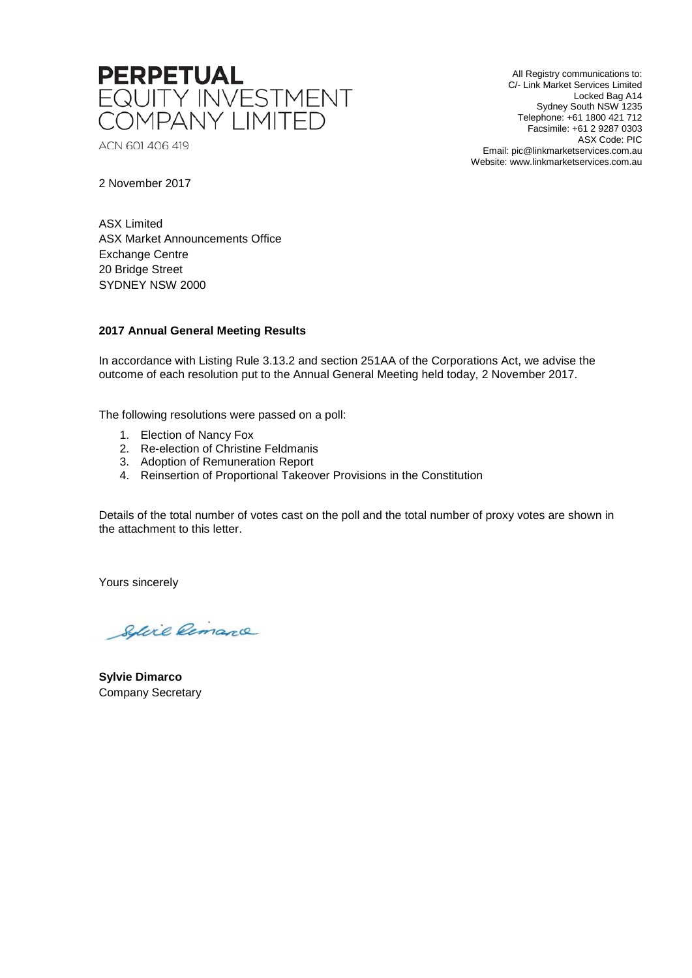

ACN 601 406 419

All Registry communications to: C/- Link Market Services Limited Locked Bag A14 Sydney South NSW 1235 Telephone: +61 1800 421 712 Facsimile: +61 2 9287 0303 ASX Code: PIC Email: pic@linkmarketservices.com.au Website: www.linkmarketservices.com.au

2 November 2017

ASX Limited ASX Market Announcements Office Exchange Centre 20 Bridge Street SYDNEY NSW 2000

## **2017 Annual General Meeting Results**

In accordance with Listing Rule 3.13.2 and section 251AA of the Corporations Act, we advise the outcome of each resolution put to the Annual General Meeting held today, 2 November 2017.

The following resolutions were passed on a poll:

- 1. Election of Nancy Fox
- 2. Re-election of Christine Feldmanis
- 3. Adoption of Remuneration Report
- 4. Reinsertion of Proportional Takeover Provisions in the Constitution

Details of the total number of votes cast on the poll and the total number of proxy votes are shown in the attachment to this letter.

Yours sincerely

Solice Remarce

**Sylvie Dimarco** Company Secretary